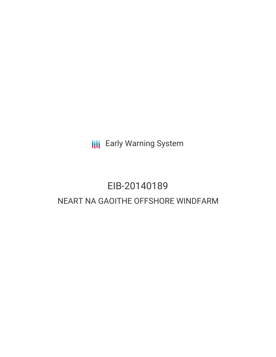**III** Early Warning System

# EIB-20140189 NEART NA GAOITHE OFFSHORE WINDFARM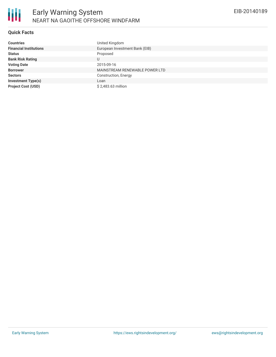

## **Quick Facts**

| <b>Countries</b>              | United Kingdom                 |
|-------------------------------|--------------------------------|
| <b>Financial Institutions</b> | European Investment Bank (EIB) |
| <b>Status</b>                 | Proposed                       |
| <b>Bank Risk Rating</b>       | U                              |
| <b>Voting Date</b>            | 2015-09-16                     |
| <b>Borrower</b>               | MAINSTREAM RENEWABLE POWER LTD |
| <b>Sectors</b>                | Construction, Energy           |
| <b>Investment Type(s)</b>     | Loan                           |
| <b>Project Cost (USD)</b>     | \$2,483.63 million             |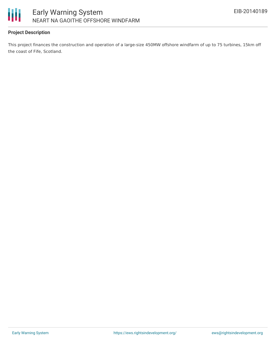

## **Project Description**

This project finances the construction and operation of a large-size 450MW offshore windfarm of up to 75 turbines, 15km off the coast of Fife, Scotland.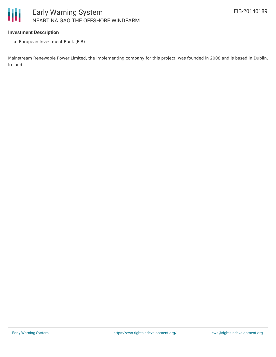

#### **Investment Description**

European Investment Bank (EIB)

Mainstream Renewable Power Limited, the implementing company for this project, was founded in 2008 and is based in Dublin, Ireland.